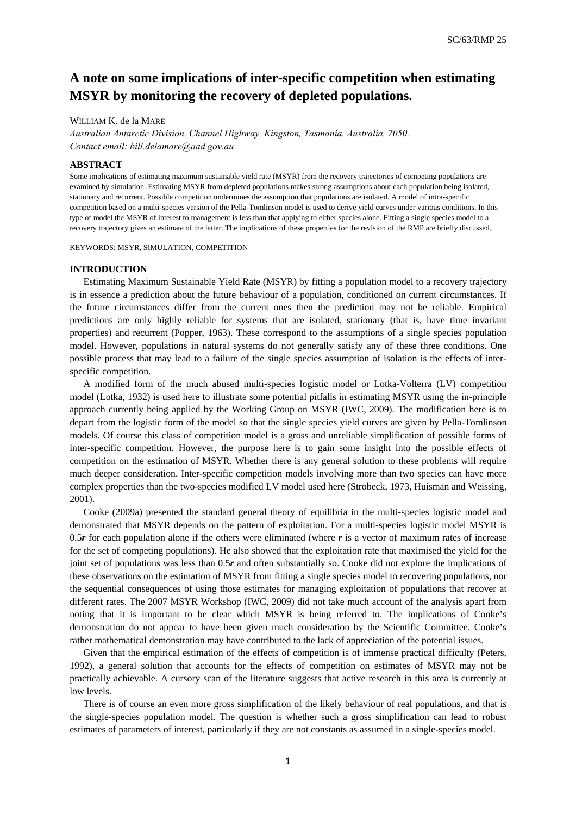# **A note on some implications of inter-specific competition when estimating MSYR by monitoring the recovery of depleted populations.**

## WILLIAM K. de la MARE

*Australian Antarctic Division, Channel Highway, Kingston, Tasmania. Australia, 7050. Contact email: bill.delamare@aad.gov.au* 

### **ABSTRACT**

Some implications of estimating maximum sustainable yield rate (MSYR) from the recovery trajectories of competing populations are examined by simulation. Estimating MSYR from depleted populations makes strong assumptions about each population being isolated, stationary and recurrent. Possible competition undermines the assumption that populations are isolated. A model of intra-specific competition based on a multi-species version of the Pella-Tomlinson model is used to derive yield curves under various conditions. In this type of model the MSYR of interest to management is less than that applying to either species alone. Fitting a single species model to a recovery trajectory gives an estimate of the latter. The implications of these properties for the revision of the RMP are briefly discussed.

KEYWORDS: MSYR, SIMULATION, COMPETITION

#### **INTRODUCTION**

Estimating Maximum Sustainable Yield Rate (MSYR) by fitting a population model to a recovery trajectory is in essence a prediction about the future behaviour of a population, conditioned on current circumstances. If the future circumstances differ from the current ones then the prediction may not be reliable. Empirical predictions are only highly reliable for systems that are isolated, stationary (that is, have time invariant properties) and recurrent (Popper, 1963). These correspond to the assumptions of a single species population model. However, populations in natural systems do not generally satisfy any of these three conditions. One possible process that may lead to a failure of the single species assumption of isolation is the effects of interspecific competition.

A modified form of the much abused multi-species logistic model or Lotka-Volterra (LV) competition model (Lotka, 1932) is used here to illustrate some potential pitfalls in estimating MSYR using the in-principle approach currently being applied by the Working Group on MSYR (IWC, 2009). The modification here is to depart from the logistic form of the model so that the single species yield curves are given by Pella-Tomlinson models. Of course this class of competition model is a gross and unreliable simplification of possible forms of inter-specific competition. However, the purpose here is to gain some insight into the possible effects of competition on the estimation of MSYR. Whether there is any general solution to these problems will require much deeper consideration. Inter-specific competition models involving more than two species can have more complex properties than the two-species modified LV model used here (Strobeck, 1973, Huisman and Weissing, 2001).

Cooke (2009a) presented the standard general theory of equilibria in the multi-species logistic model and demonstrated that MSYR depends on the pattern of exploitation. For a multi-species logistic model MSYR is 0.5 $r$  for each population alone if the others were eliminated (where  $r$  is a vector of maximum rates of increase for the set of competing populations). He also showed that the exploitation rate that maximised the yield for the joint set of populations was less than 0.5*r* and often substantially so. Cooke did not explore the implications of these observations on the estimation of MSYR from fitting a single species model to recovering populations, nor the sequential consequences of using those estimates for managing exploitation of populations that recover at different rates. The 2007 MSYR Workshop (IWC, 2009) did not take much account of the analysis apart from noting that it is important to be clear which MSYR is being referred to. The implications of Cooke's demonstration do not appear to have been given much consideration by the Scientific Committee. Cooke's rather mathematical demonstration may have contributed to the lack of appreciation of the potential issues.

Given that the empirical estimation of the effects of competition is of immense practical difficulty (Peters, 1992), a general solution that accounts for the effects of competition on estimates of MSYR may not be practically achievable. A cursory scan of the literature suggests that active research in this area is currently at low levels.

There is of course an even more gross simplification of the likely behaviour of real populations, and that is the single-species population model. The question is whether such a gross simplification can lead to robust estimates of parameters of interest, particularly if they are not constants as assumed in a single-species model.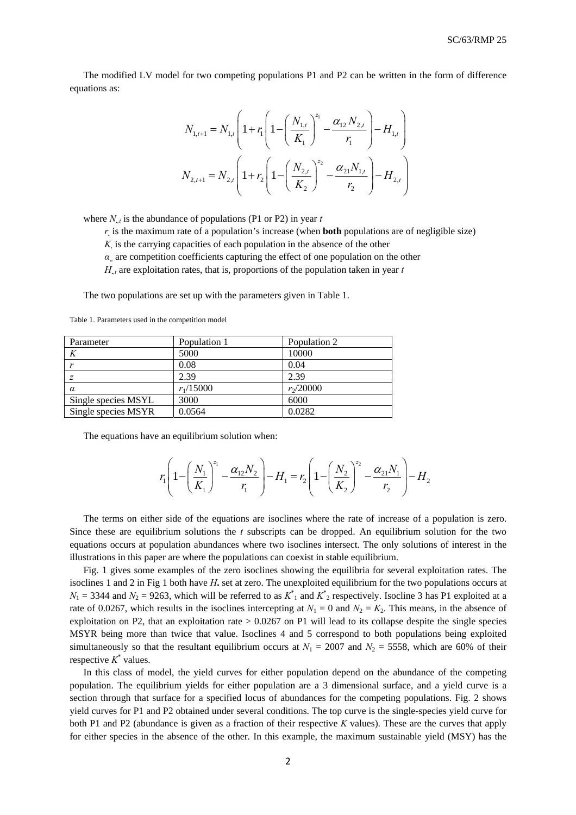The modified LV model for two competing populations P1 and P2 can be written in the form of difference equations as:

$$
N_{1,t+1} = N_{1,t} \left( 1 + r_1 \left( 1 - \left( \frac{N_{1,t}}{K_1} \right)^{z_1} - \frac{\alpha_{12} N_{2,t}}{r_1} \right) - H_{1,t} \right)
$$
  

$$
N_{2,t+1} = N_{2,t} \left( 1 + r_2 \left( 1 - \left( \frac{N_{2,t}}{K_2} \right)^{z_2} - \frac{\alpha_{21} N_{1,t}}{r_2} \right) - H_{2,t} \right)
$$

where  $N_{\mu}$  is the abundance of populations (P1 or P2) in year *t* 

*r.* is the maximum rate of a population's increase (when **both** populations are of negligible size)

*K.* is the carrying capacities of each population in the absence of the other

*α***..** are competition coefficients capturing the effect of one population on the other

 $H_{t,t}$  are exploitation rates, that is, proportions of the population taken in year  $t$ 

The two populations are set up with the parameters given in Table 1.

| Parameter           | Population 1 | Population 2 |
|---------------------|--------------|--------------|
| K                   | 5000         | 10000        |
|                     | 0.08         | 0.04         |
|                     | 2.39         | 2.39         |
| $\alpha$            | $r_1/15000$  | $r_2/20000$  |
| Single species MSYL | 3000         | 6000         |
| Single species MSYR | 0.0564       | 0.0282       |

Table 1. Parameters used in the competition model

The equations have an equilibrium solution when:

$$
r_1 \left( 1 - \left( \frac{N_1}{K_1} \right)^{z_1} - \frac{\alpha_{12} N_2}{r_1} \right) - H_1 = r_2 \left( 1 - \left( \frac{N_2}{K_2} \right)^{z_2} - \frac{\alpha_{21} N_1}{r_2} \right) - H_2
$$

The terms on either side of the equations are isoclines where the rate of increase of a population is zero. Since these are equilibrium solutions the *t* subscripts can be dropped. An equilibrium solution for the two equations occurs at population abundances where two isoclines intersect. The only solutions of interest in the illustrations in this paper are where the populations can coexist in stable equilibrium.

Fig. 1 gives some examples of the zero isoclines showing the equilibria for several exploitation rates. The isoclines 1 and 2 in Fig 1 both have *H***.** set at zero. The unexploited equilibrium for the two populations occurs at  $N_1 = 3344$  and  $N_2 = 9263$ , which will be referred to as  $K^*_{11}$  and  $K^*_{22}$  respectively. Isocline 3 has P1 exploited at a rate of 0.0267, which results in the isoclines intercepting at  $N_1 = 0$  and  $N_2 = K_2$ . This means, in the absence of exploitation on P2, that an exploitation rate  $> 0.0267$  on P1 will lead to its collapse despite the single species MSYR being more than twice that value. Isoclines 4 and 5 correspond to both populations being exploited simultaneously so that the resultant equilibrium occurs at  $N_1 = 2007$  and  $N_2 = 5558$ , which are 60% of their respective  $K^*$  values.

In this class of model, the yield curves for either population depend on the abundance of the competing population. The equilibrium yields for either population are a 3 dimensional surface, and a yield curve is a section through that surface for a specified locus of abundances for the competing populations. Fig. 2 shows yield curves for P1 and P2 obtained under several conditions. The top curve is the single-species yield curve for both P1 and P2 (abundance is given as a fraction of their respective *K* values). These are the curves that apply for either species in the absence of the other. In this example, the maximum sustainable yield (MSY) has the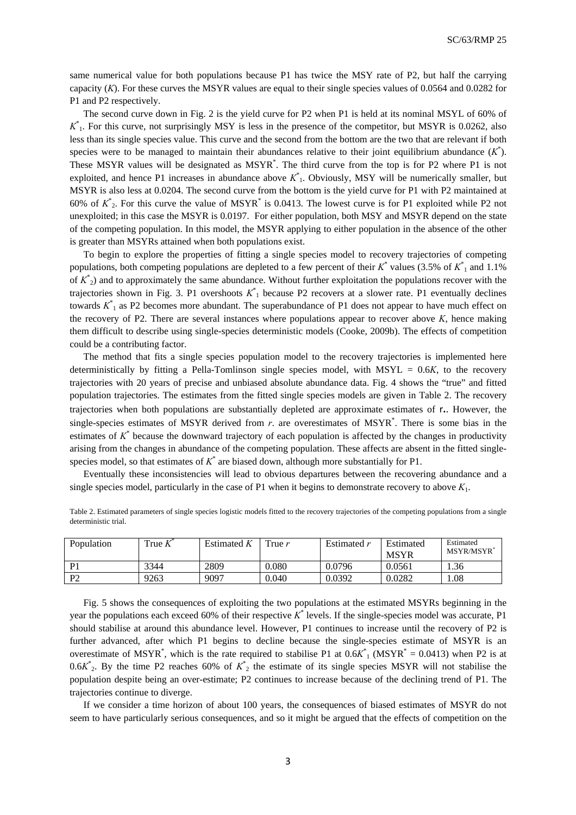same numerical value for both populations because P1 has twice the MSY rate of P2, but half the carrying capacity (*K*). For these curves the MSYR values are equal to their single species values of 0.0564 and 0.0282 for P1 and P2 respectively.

The second curve down in Fig. 2 is the yield curve for P2 when P1 is held at its nominal MSYL of 60% of  $K^*$ <sub>1</sub>. For this curve, not surprisingly MSY is less in the presence of the competitor, but MSYR is 0.0262, also less than its single species value. This curve and the second from the bottom are the two that are relevant if both species were to be managed to maintain their abundances relative to their joint equilibrium abundance  $(K^*)$ . These MSYR values will be designated as MSYR<sup>\*</sup>. The third curve from the top is for P2 where P1 is not exploited, and hence P1 increases in abundance above *K*\* 1. Obviously, MSY will be numerically smaller, but MSYR is also less at 0.0204. The second curve from the bottom is the yield curve for P1 with P2 maintained at 60% of  $K^*_{2}$ . For this curve the value of MSYR<sup>\*</sup> is 0.0413. The lowest curve is for P1 exploited while P2 not unexploited; in this case the MSYR is 0.0197. For either population, both MSY and MSYR depend on the state of the competing population. In this model, the MSYR applying to either population in the absence of the other is greater than MSYRs attained when both populations exist.

To begin to explore the properties of fitting a single species model to recovery trajectories of competing populations, both competing populations are depleted to a few percent of their  $K^*$  values (3.5% of  $K^*_{1}$  and 1.1% of *K*\* 2) and to approximately the same abundance. Without further exploitation the populations recover with the trajectories shown in Fig. 3. P1 overshoots *K*\* 1 because P2 recovers at a slower rate. P1 eventually declines towards *K*\* 1 as P2 becomes more abundant. The superabundance of P1 does not appear to have much effect on the recovery of P2. There are several instances where populations appear to recover above *K*, hence making them difficult to describe using single-species deterministic models (Cooke, 2009b). The effects of competition could be a contributing factor.

The method that fits a single species population model to the recovery trajectories is implemented here deterministically by fitting a Pella-Tomlinson single species model, with MSYL = 0.6*K*, to the recovery trajectories with 20 years of precise and unbiased absolute abundance data. Fig. 4 shows the "true" and fitted population trajectories. The estimates from the fitted single species models are given in Table 2. The recovery trajectories when both populations are substantially depleted are approximate estimates of r**.**. However, the single-species estimates of MSYR derived from *r*. are overestimates of MSYR\* . There is some bias in the estimates of  $K^*$  because the downward trajectory of each population is affected by the changes in productivity arising from the changes in abundance of the competing population. These affects are absent in the fitted singlespecies model, so that estimates of  $K^*$  are biased down, although more substantially for P1.

Eventually these inconsistencies will lead to obvious departures between the recovering abundance and a single species model, particularly in the case of P1 when it begins to demonstrate recovery to above *K*1.

| Population   | True k | Estimated $K$ | True $r$ | Estimated r | Estimated<br><b>MSYR</b> | Estimated<br><b>MSYR/MSYR</b> |
|--------------|--------|---------------|----------|-------------|--------------------------|-------------------------------|
| $\mathbf{D}$ | 3344   | 2809          | 0.080    | 0.0796      | 0.0561                   | . 36                          |
| D?           | 9263   | 9097          | 0.040    | 0.0392      | 0.0282                   | . 08                          |

Table 2. Estimated parameters of single species logistic models fitted to the recovery trajectories of the competing populations from a single deterministic trial.

Fig. 5 shows the consequences of exploiting the two populations at the estimated MSYRs beginning in the year the populations each exceed 60% of their respective *K*\* levels. If the single-species model was accurate, P1 should stabilise at around this abundance level. However, P1 continues to increase until the recovery of P2 is further advanced, after which P1 begins to decline because the single-species estimate of MSYR is an overestimate of MSYR<sup>\*</sup>, which is the rate required to stabilise P1 at  $0.6K^*$ <sub>1</sub> (MSYR<sup>\*</sup> = 0.0413) when P2 is at  $0.6K^*_{2}$ . By the time P2 reaches 60% of  $K^*_{2}$  the estimate of its single species MSYR will not stabilise the population despite being an over-estimate; P2 continues to increase because of the declining trend of P1. The trajectories continue to diverge.

If we consider a time horizon of about 100 years, the consequences of biased estimates of MSYR do not seem to have particularly serious consequences, and so it might be argued that the effects of competition on the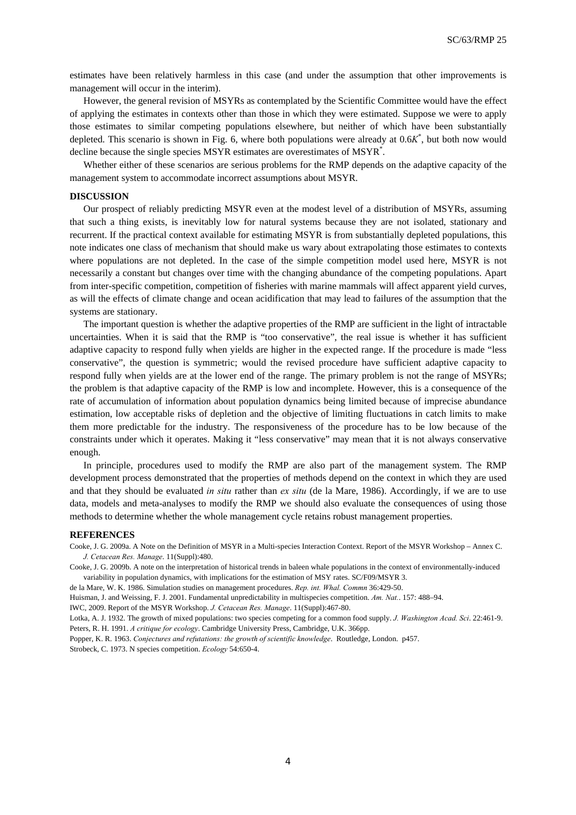estimates have been relatively harmless in this case (and under the assumption that other improvements is management will occur in the interim).

However, the general revision of MSYRs as contemplated by the Scientific Committee would have the effect of applying the estimates in contexts other than those in which they were estimated. Suppose we were to apply those estimates to similar competing populations elsewhere, but neither of which have been substantially depleted. This scenario is shown in Fig. 6, where both populations were already at 0.6*K*\* , but both now would decline because the single species MSYR estimates are overestimates of MSYR\* .

Whether either of these scenarios are serious problems for the RMP depends on the adaptive capacity of the management system to accommodate incorrect assumptions about MSYR.

#### **DISCUSSION**

Our prospect of reliably predicting MSYR even at the modest level of a distribution of MSYRs, assuming that such a thing exists, is inevitably low for natural systems because they are not isolated, stationary and recurrent. If the practical context available for estimating MSYR is from substantially depleted populations, this note indicates one class of mechanism that should make us wary about extrapolating those estimates to contexts where populations are not depleted. In the case of the simple competition model used here, MSYR is not necessarily a constant but changes over time with the changing abundance of the competing populations. Apart from inter-specific competition, competition of fisheries with marine mammals will affect apparent yield curves, as will the effects of climate change and ocean acidification that may lead to failures of the assumption that the systems are stationary.

The important question is whether the adaptive properties of the RMP are sufficient in the light of intractable uncertainties. When it is said that the RMP is "too conservative", the real issue is whether it has sufficient adaptive capacity to respond fully when yields are higher in the expected range. If the procedure is made "less conservative", the question is symmetric; would the revised procedure have sufficient adaptive capacity to respond fully when yields are at the lower end of the range. The primary problem is not the range of MSYRs; the problem is that adaptive capacity of the RMP is low and incomplete. However, this is a consequence of the rate of accumulation of information about population dynamics being limited because of imprecise abundance estimation, low acceptable risks of depletion and the objective of limiting fluctuations in catch limits to make them more predictable for the industry. The responsiveness of the procedure has to be low because of the constraints under which it operates. Making it "less conservative" may mean that it is not always conservative enough.

In principle, procedures used to modify the RMP are also part of the management system. The RMP development process demonstrated that the properties of methods depend on the context in which they are used and that they should be evaluated *in situ* rather than *ex situ* (de la Mare, 1986). Accordingly, if we are to use data, models and meta-analyses to modify the RMP we should also evaluate the consequences of using those methods to determine whether the whole management cycle retains robust management properties.

#### **REFERENCES**

Cooke, J. G. 2009a. A Note on the Definition of MSYR in a Multi-species Interaction Context. Report of the MSYR Workshop – Annex C. *J. Cetacean Res. Manage*. 11(Suppl):480.

Cooke, J. G. 2009b. A note on the interpretation of historical trends in baleen whale populations in the context of environmentally-induced variability in population dynamics, with implications for the estimation of MSY rates. SC/F09/MSYR 3.

de la Mare, W. K. 1986. Simulation studies on management procedures. *Rep. int. Whal. Commn* 36:429-50.

Huisman, J. and Weissing, F. J. 2001. Fundamental unpredictability in multispecies competition. *Am. Nat.*. 157: 488–94.

IWC, 2009. Report of the MSYR Workshop. *J. Cetacean Res. Manage*. 11(Suppl):467-80.

Lotka, A. J. 1932. The growth of mixed populations: two species competing for a common food supply. *J. Washington Acad. Sci*. 22:461-9. Peters, R. H. 1991. *A critique for ecology*. Cambridge University Press, Cambridge, U.K. 366pp.

Popper, K. R. 1963. *Conjectures and refutations: the growth of scientific knowledge*. Routledge, London. p457. Strobeck, C. 1973. N species competition. *Ecology* 54:650-4.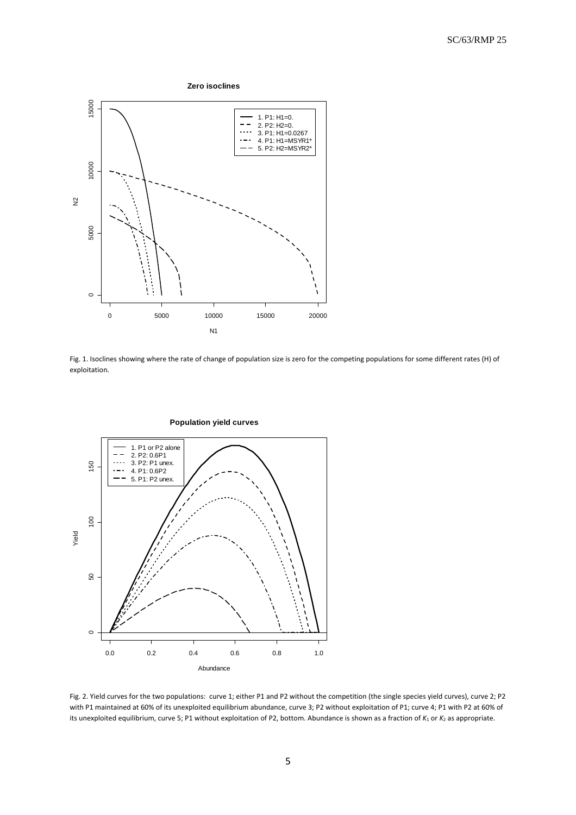

Fig. 1. Isoclines showing where the rate of change of population size is zero for the competing populations for some different rates (H) of exploitation.



Fig. 2. Yield curves for the two populations: curve 1; either P1 and P2 without the competition (the single species yield curves), curve 2; P2 with P1 maintained at 60% of its unexploited equilibrium abundance, curve 3; P2 without exploitation of P1; curve 4; P1 with P2 at 60% of its unexploited equilibrium, curve 5; P1 without exploitation of P2, bottom. Abundance is shown as a fraction of  $K_1$  or  $K_2$  as appropriate.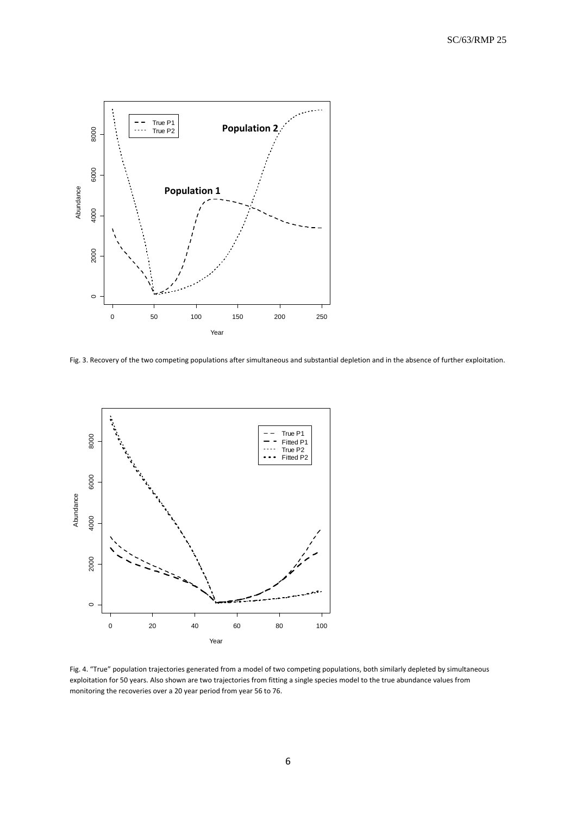

Fig. 3. Recovery of the two competing populations after simultaneous and substantial depletion and in the absence of further exploitation.



Fig. 4. "True" population trajectories generated from a model of two competing populations, both similarly depleted by simultaneous exploitation for 50 years. Also shown are two trajectories from fitting a single species model to the true abundance values from monitoring the recoveries over a 20 year period from year 56 to 76.